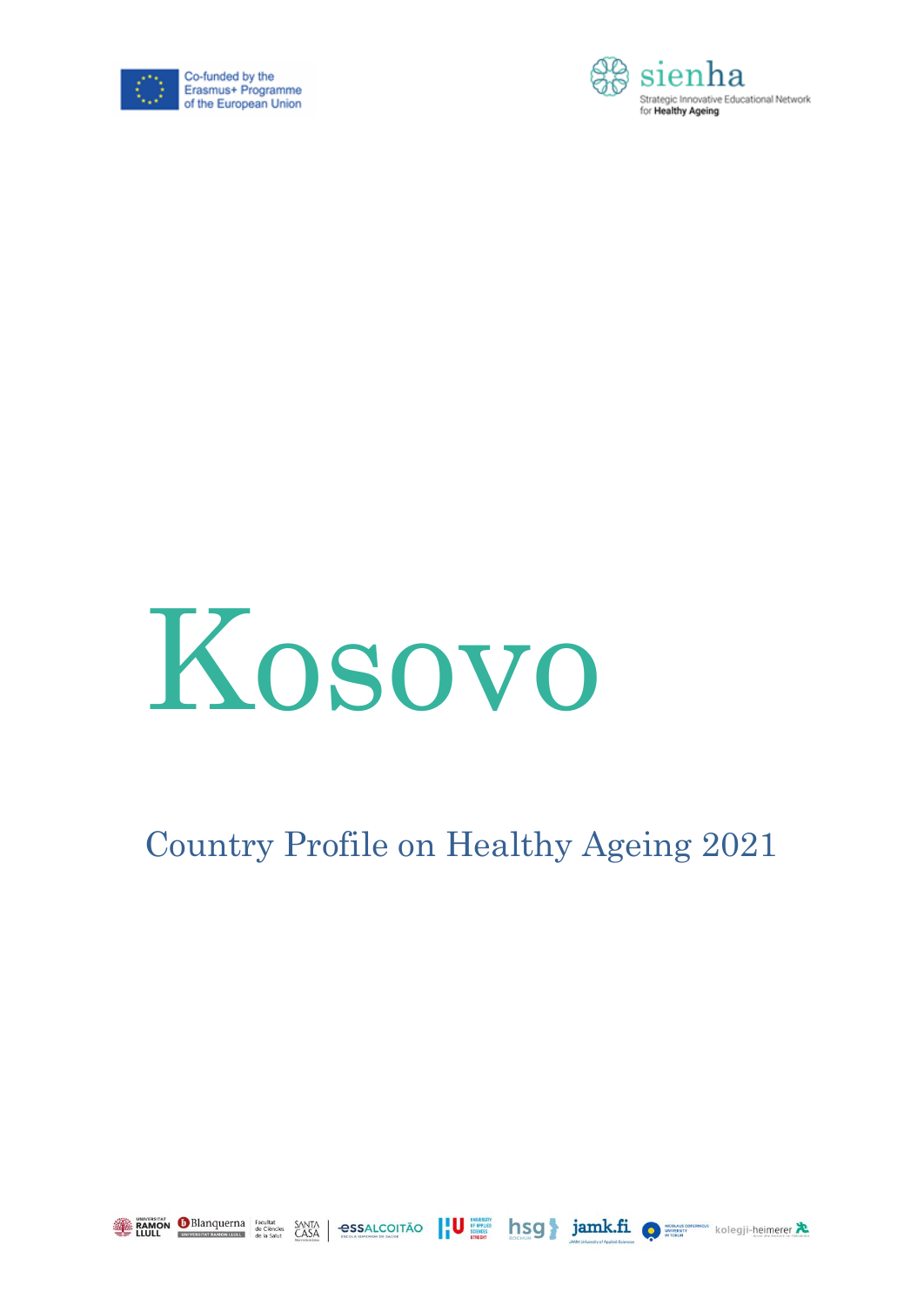





### Country Profile on Healthy Ageing 2021







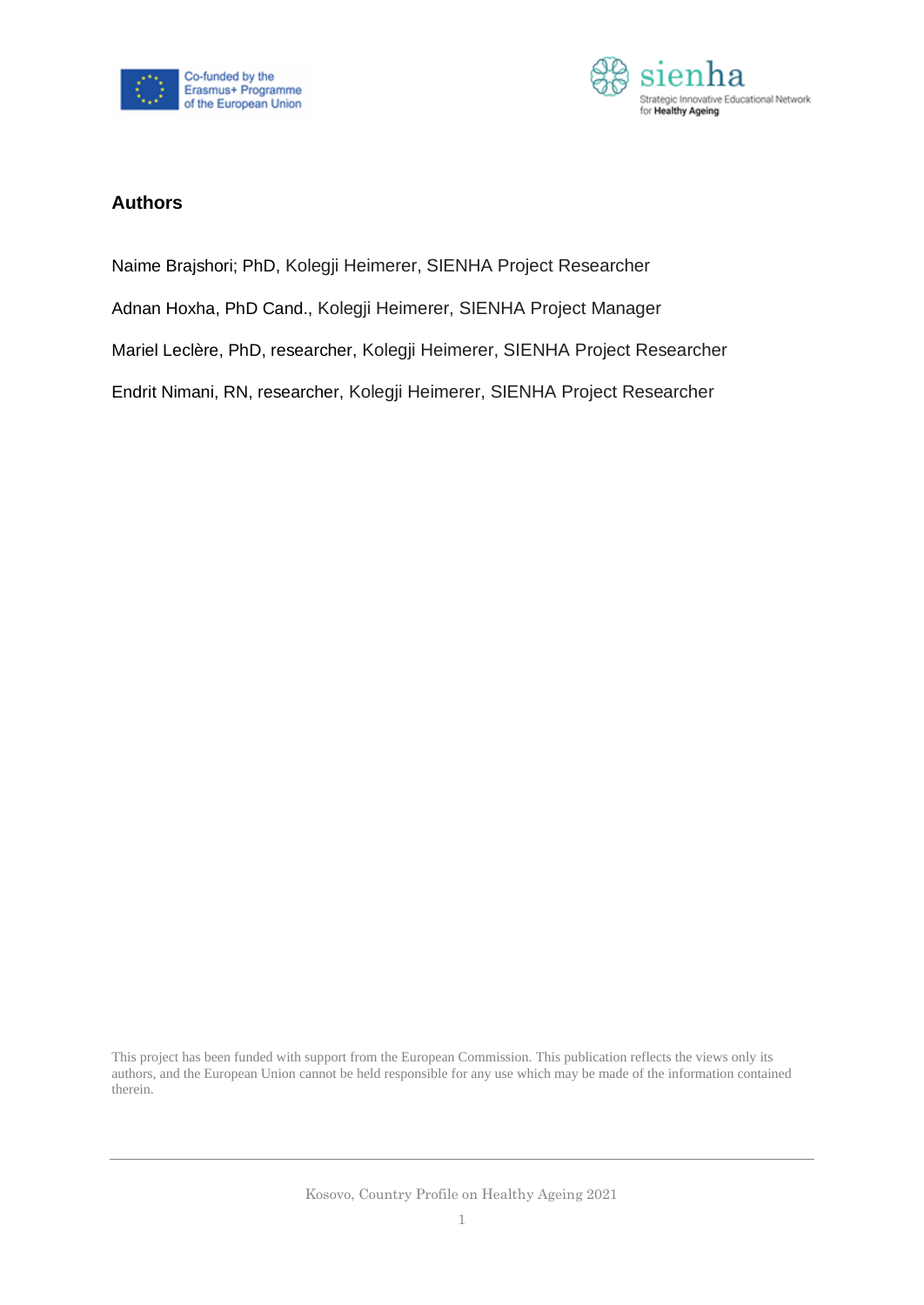



#### **Authors**

- Naime Brajshori; PhD, Kolegji Heimerer, SIENHA Project Researcher
- Adnan Hoxha, PhD Cand., Kolegji Heimerer, SIENHA Project Manager
- Mariel Leclère, PhD, researcher, Kolegji Heimerer, SIENHA Project Researcher
- Endrit Nimani, RN, researcher, Kolegji Heimerer, SIENHA Project Researcher

This project has been funded with support from the European Commission. This publication reflects the views only its authors, and the European Union cannot be held responsible for any use which may be made of the information contained therein.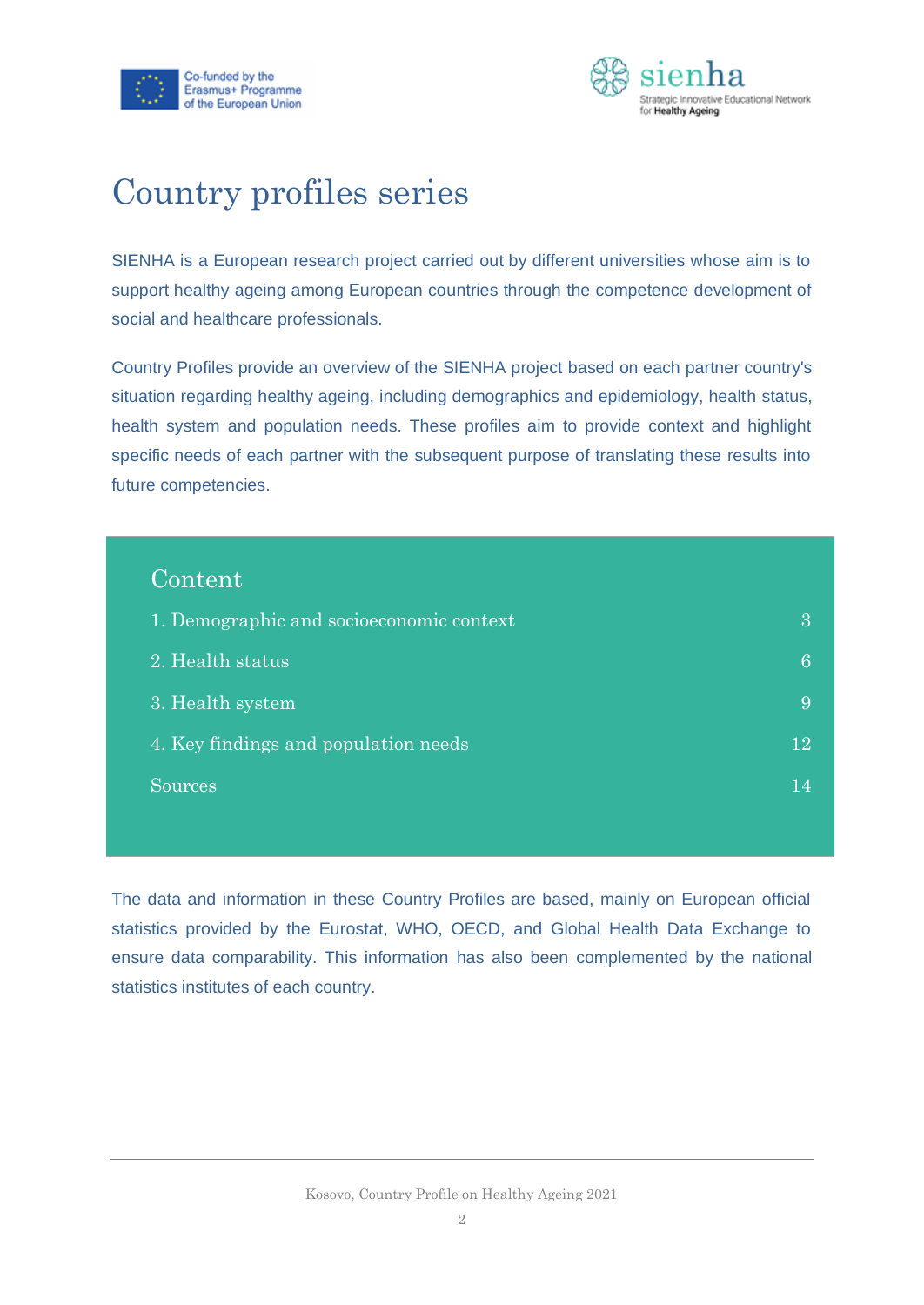



### Country profiles series

SIENHA is a European research project carried out by different universities whose aim is to support healthy ageing among European countries through the competence development of social and healthcare professionals.

Country Profiles provide an overview of the SIENHA project based on each partner country's situation regarding healthy ageing, including demographics and epidemiology, health status, health system and population needs. These profiles aim to provide context and highlight specific needs of each partner with the subsequent purpose of translating these results into future competencies.

| Content <sup>'</sup>                     |      |
|------------------------------------------|------|
| 1. Demographic and socioeconomic context | 3    |
| 2. Health status                         | 6    |
| 3. Health system                         | 9    |
| 4. Key findings and population needs     | 12   |
| Sources                                  | 1 ZI |
|                                          |      |

The data and information in these Country Profiles are based, mainly on European official statistics provided by the Eurostat, WHO, OECD, and Global Health Data Exchange to ensure data comparability. This information has also been complemented by the national statistics institutes of each country.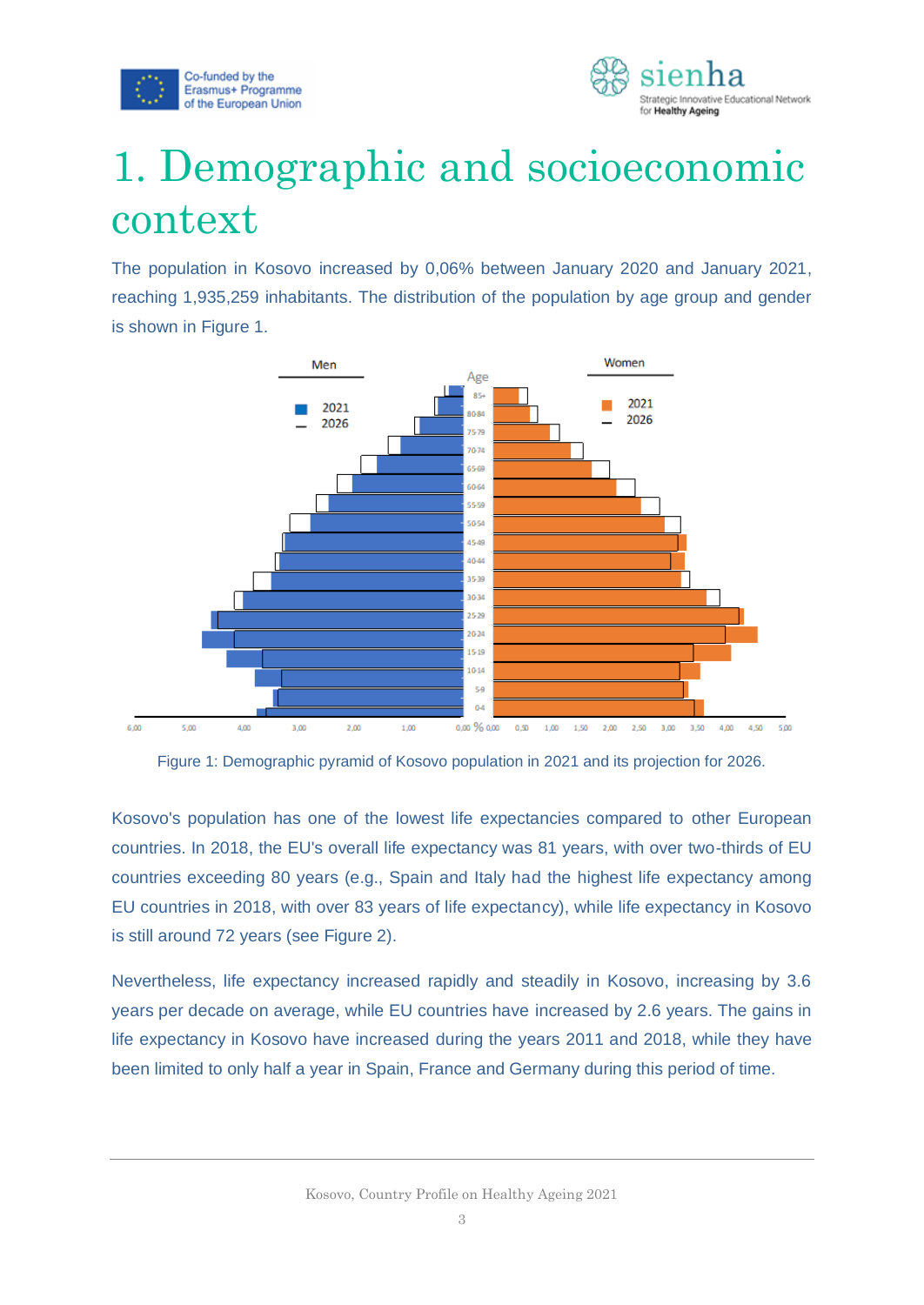



# <span id="page-3-0"></span>1. Demographic and socioeconomic context

The population in Kosovo increased by 0,06% between January 2020 and January 2021, reaching 1,935,259 inhabitants. The distribution of the population by age group and gender is shown in Figure 1.



Figure 1: Demographic pyramid of Kosovo population in 2021 and its projection for 2026.

Kosovo's population has one of the lowest life expectancies compared to other European countries. In 2018, the EU's overall life expectancy was 81 years, with over two-thirds of EU countries exceeding 80 years (e.g., Spain and Italy had the highest life expectancy among EU countries in 2018, with over 83 years of life expectancy), while life expectancy in Kosovo is still around 72 years (see Figure 2).

Nevertheless, life expectancy increased rapidly and steadily in Kosovo, increasing by 3.6 years per decade on average, while EU countries have increased by 2.6 years. The gains in life expectancy in Kosovo have increased during the years 2011 and 2018, while they have been limited to only half a year in Spain, France and Germany during this period of time.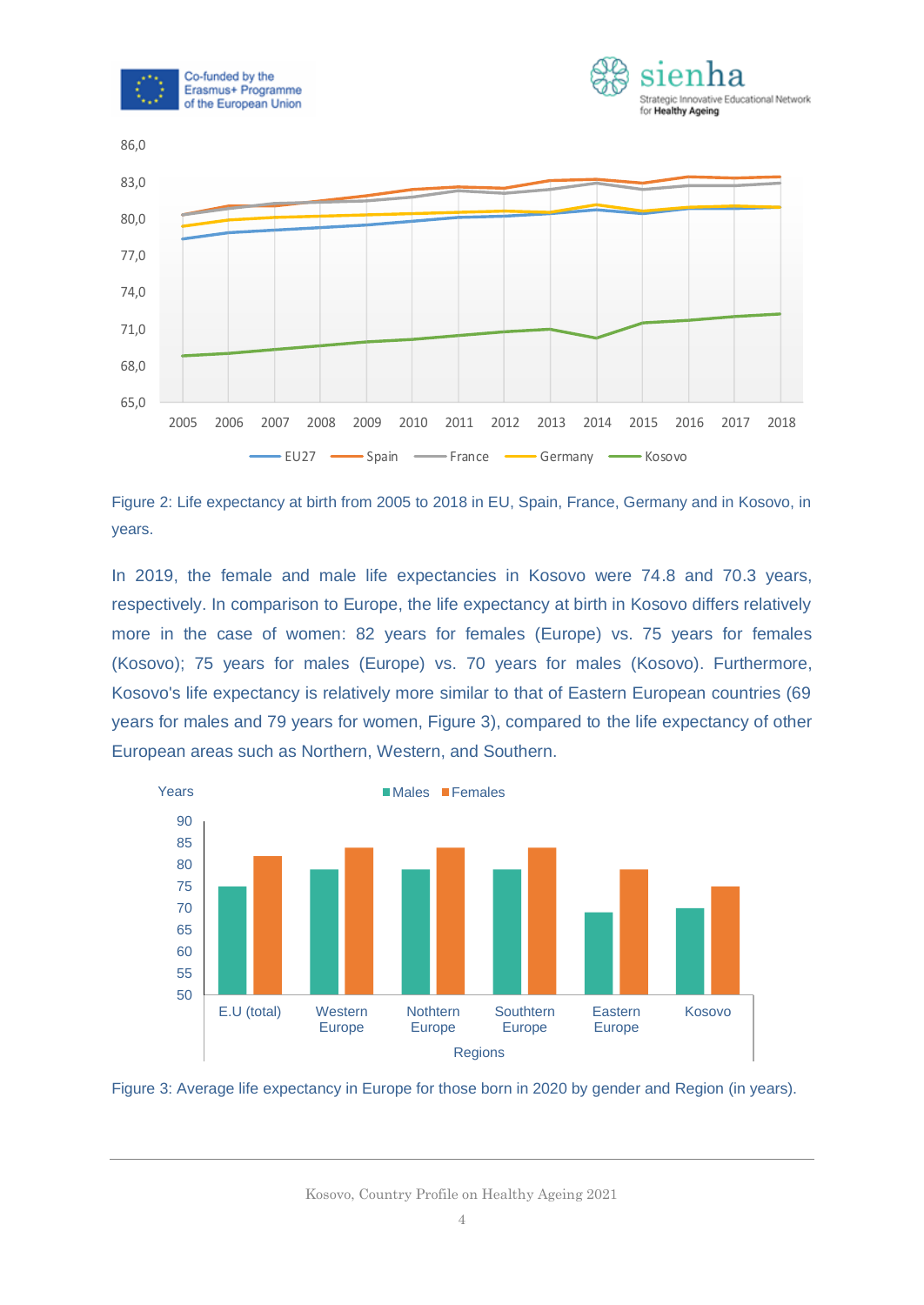





Figure 2: Life expectancy at birth from 2005 to 2018 in EU, Spain, France, Germany and in Kosovo, in years.

In 2019, the female and male life expectancies in Kosovo were 74.8 and 70.3 years, respectively. In comparison to Europe, the life expectancy at birth in Kosovo differs relatively more in the case of women: 82 years for females (Europe) vs. 75 years for females (Kosovo); 75 years for males (Europe) vs. 70 years for males (Kosovo). Furthermore, Kosovo's life expectancy is relatively more similar to that of Eastern European countries (69 years for males and 79 years for women, Figure 3), compared to the life expectancy of other European areas such as Northern, Western, and Southern.





Kosovo, Country Profile on Healthy Ageing 2021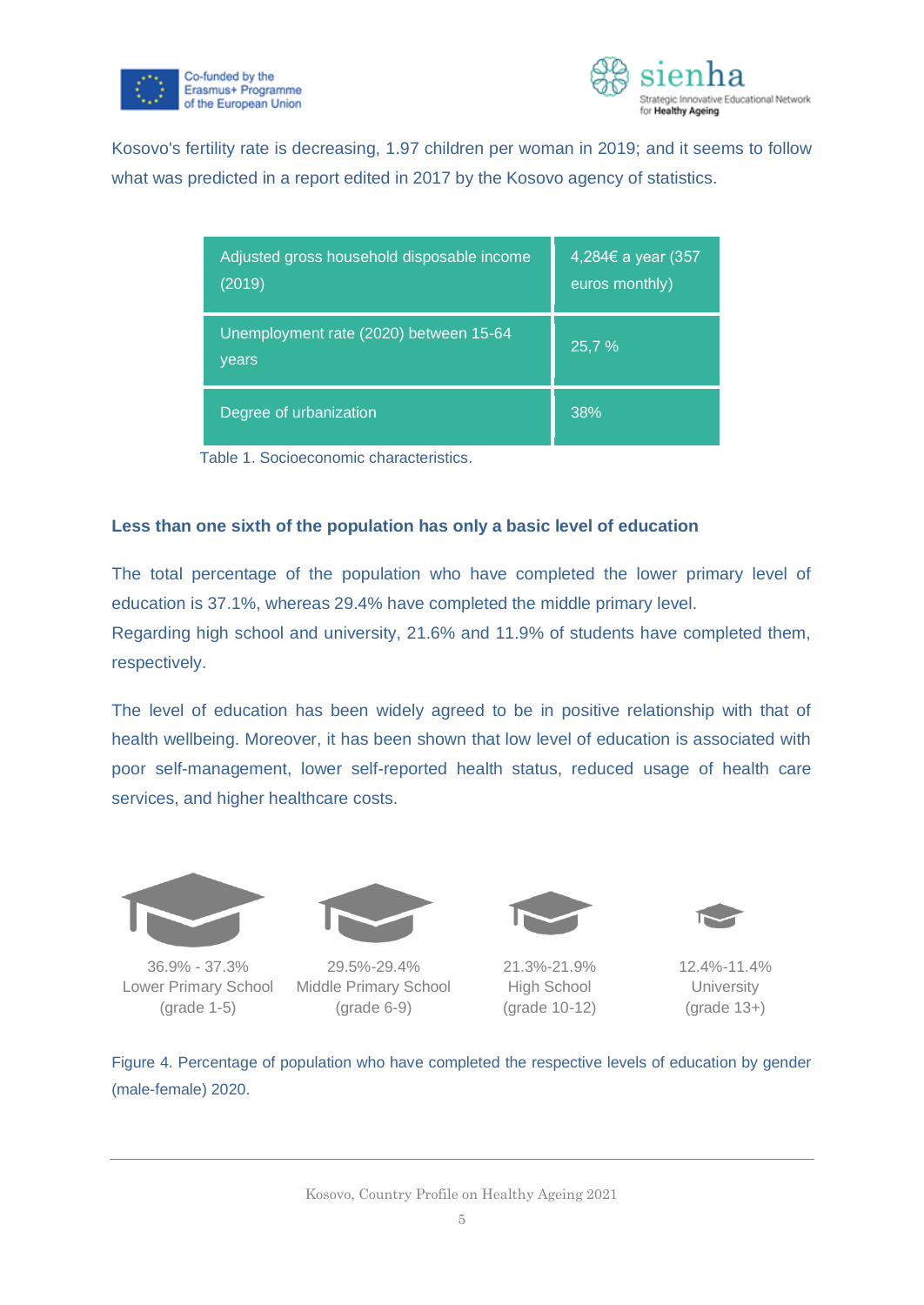



Kosovo's fertility rate is decreasing, 1.97 children per woman in 2019; and it seems to follow what was predicted in a report edited in 2017 by the Kosovo agency of statistics.

| Adjusted gross household disposable income<br>(2019) | 4,284€ a year (357<br>euros monthly) |
|------------------------------------------------------|--------------------------------------|
| Unemployment rate (2020) between 15-64<br>years      | 25,7 %                               |
| Degree of urbanization                               | 38%                                  |

Table 1. Socioeconomic characteristics.

#### **Less than one sixth of the population has only a basic level of education**

The total percentage of the population who have completed the lower primary level of education is 37.1%, whereas 29.4% have completed the middle primary level.

Regarding high school and university, 21.6% and 11.9% of students have completed them, respectively.

The level of education has been widely agreed to be in positive relationship with that of health wellbeing. Moreover, it has been shown that low level of education is associated with poor self-management, lower self-reported health status, reduced usage of health care services, and higher healthcare costs.



36.9% - 37.3% Lower Primary School (grade 1-5)



29.5%-29.4% Middle Primary School (grade 6-9)



21.3%-21.9% High School (grade 10-12)



12.4%-11.4% **University** (grade 13+)

Figure 4. Percentage of population who have completed the respective levels of education by gender (male-female) 2020.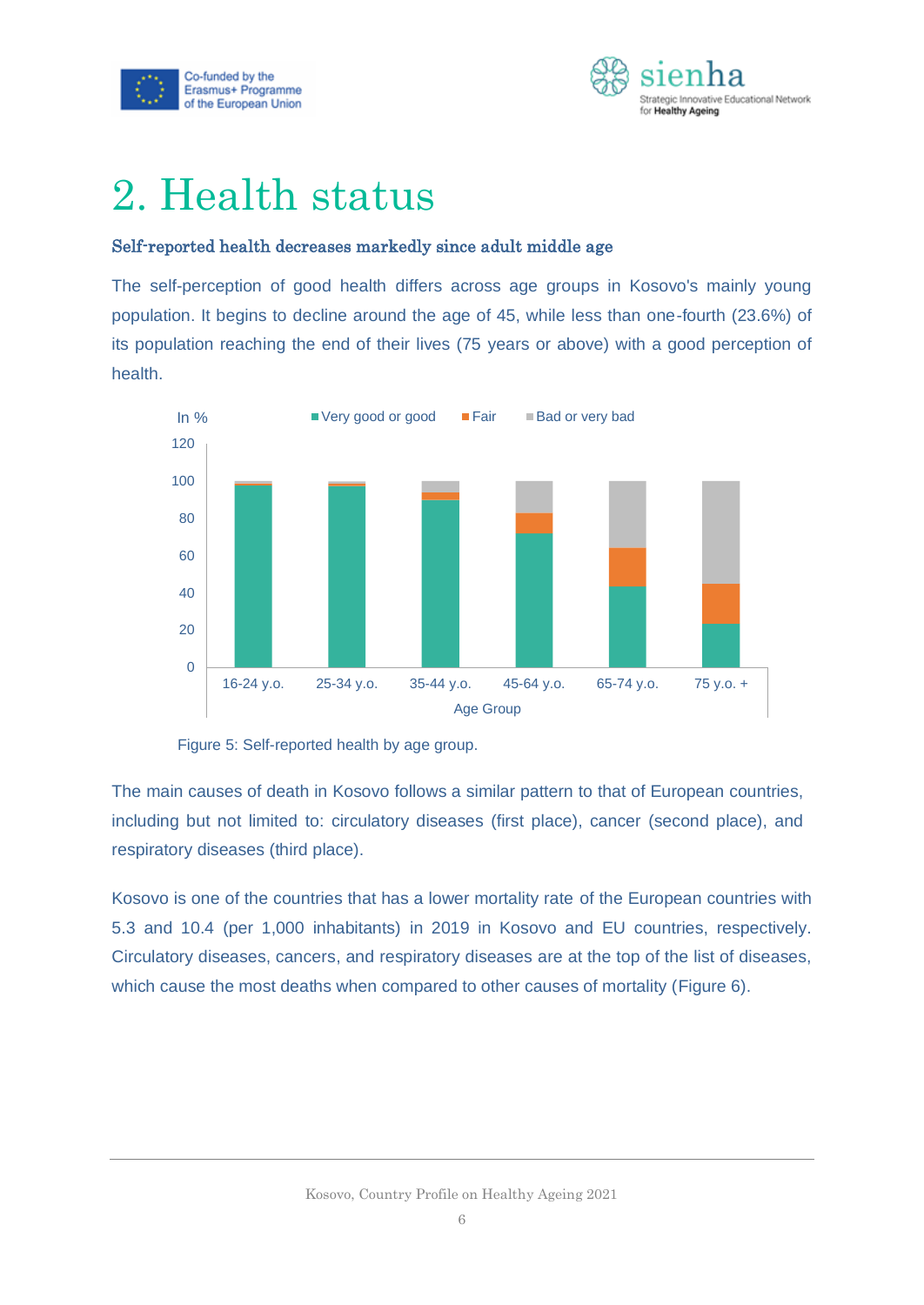



# <span id="page-6-0"></span>2. Health status

#### Self-reported health decreases markedly since adult middle age

The self-perception of good health differs across age groups in Kosovo's mainly young population. It begins to decline around the age of 45, while less than one-fourth (23.6%) of its population reaching the end of their lives (75 years or above) with a good perception of health.



Figure 5: Self-reported health by age group.

The main causes of death in Kosovo follows a similar pattern to that of European countries, including but not limited to: circulatory diseases (first place), cancer (second place), and respiratory diseases (third place).

Kosovo is one of the countries that has a lower mortality rate of the European countries with 5.3 and 10.4 (per 1,000 inhabitants) in 2019 in Kosovo and EU countries, respectively. Circulatory diseases, cancers, and respiratory diseases are at the top of the list of diseases, which cause the most deaths when compared to other causes of mortality (Figure 6).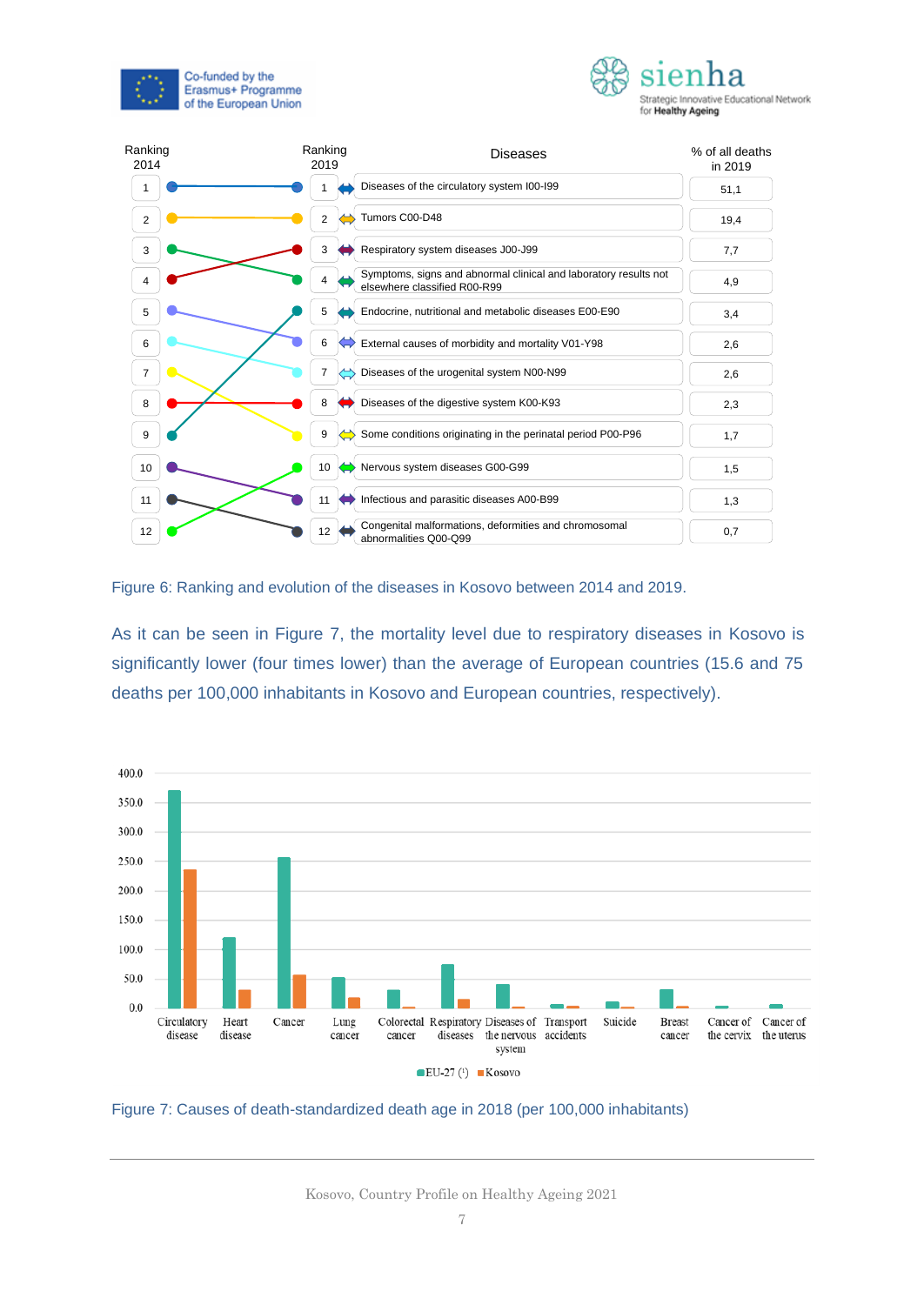



| Ranking<br>2014 | Ranking<br>2019 | <b>Diseases</b>                                                                                  | % of all deaths<br>in 2019 |  |
|-----------------|-----------------|--------------------------------------------------------------------------------------------------|----------------------------|--|
| 1               |                 | Diseases of the circulatory system I00-I99                                                       | 51,1                       |  |
| 2               | 2               | Tumors C00-D48                                                                                   | 19,4                       |  |
| 3               | 3               | Respiratory system diseases J00-J99                                                              | 7,7                        |  |
| 4               |                 | Symptoms, signs and abnormal clinical and laboratory results not<br>elsewhere classified R00-R99 | 4,9                        |  |
| 5               | 5               | Endocrine, nutritional and metabolic diseases E00-E90                                            | 3,4                        |  |
| 6               | 6               | External causes of morbidity and mortality V01-Y98                                               | 2,6                        |  |
| $\overline{7}$  | 7               | Diseases of the urogenital system N00-N99                                                        | 2,6                        |  |
| 8               | 8               | Diseases of the digestive system K00-K93                                                         | 2,3                        |  |
| 9               | 9               | Some conditions originating in the perinatal period P00-P96                                      | 1,7                        |  |
| 10              | 10              | Nervous system diseases G00-G99                                                                  | 1,5                        |  |
| 11              | 11              | Infectious and parasitic diseases A00-B99                                                        | 1,3                        |  |
| 12              | 12              | Congenital malformations, deformities and chromosomal<br>abnormalities Q00-Q99                   | 0,7                        |  |

Figure 6: Ranking and evolution of the diseases in Kosovo between 2014 and 2019.

As it can be seen in Figure 7, the mortality level due to respiratory diseases in Kosovo is significantly lower (four times lower) than the average of European countries (15.6 and 75 deaths per 100,000 inhabitants in Kosovo and European countries, respectively).



Figure 7: Causes of death-standardized death age in 2018 (per 100,000 inhabitants)

Kosovo, Country Profile on Healthy Ageing 2021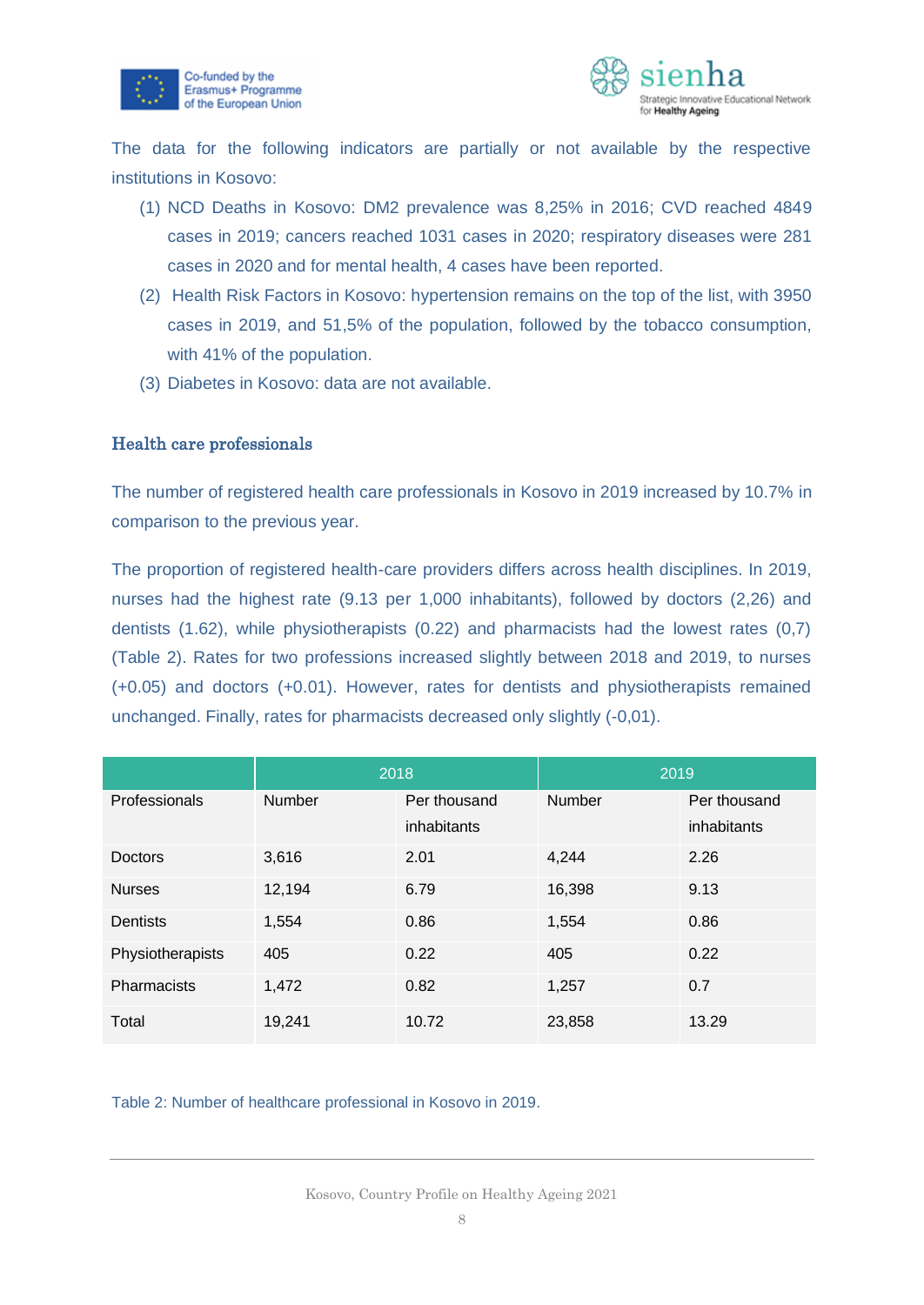



The data for the following indicators are partially or not available by the respective institutions in Kosovo:

- (1) NCD Deaths in Kosovo: DM2 prevalence was 8,25% in 2016; CVD reached 4849 cases in 2019; cancers reached 1031 cases in 2020; respiratory diseases were 281 cases in 2020 and for mental health, 4 cases have been reported.
- (2) Health Risk Factors in Kosovo: hypertension remains on the top of the list, with 3950 cases in 2019, and 51,5% of the population, followed by the tobacco consumption, with 41% of the population.
- (3) Diabetes in Kosovo: data are not available.

#### Health care professionals

The number of registered health care professionals in Kosovo in 2019 increased by 10.7% in comparison to the previous year.

The proportion of registered health-care providers differs across health disciplines. In 2019, nurses had the highest rate (9.13 per 1,000 inhabitants), followed by doctors (2,26) and dentists (1.62), while physiotherapists (0.22) and pharmacists had the lowest rates (0,7) (Table 2). Rates for two professions increased slightly between 2018 and 2019, to nurses (+0.05) and doctors (+0.01). However, rates for dentists and physiotherapists remained unchanged. Finally, rates for pharmacists decreased only slightly (-0,01).

|                    | 2018          |              | 2019          |              |
|--------------------|---------------|--------------|---------------|--------------|
| Professionals      | <b>Number</b> | Per thousand | <b>Number</b> | Per thousand |
|                    |               | inhabitants  |               | inhabitants  |
| <b>Doctors</b>     | 3,616         | 2.01         | 4,244         | 2.26         |
| <b>Nurses</b>      | 12,194        | 6.79         | 16,398        | 9.13         |
| <b>Dentists</b>    | 1,554         | 0.86         | 1,554         | 0.86         |
| Physiotherapists   | 405           | 0.22         | 405           | 0.22         |
| <b>Pharmacists</b> | 1,472         | 0.82         | 1,257         | 0.7          |
| Total              | 19,241        | 10.72        | 23,858        | 13.29        |

Table 2: Number of healthcare professional in Kosovo in 2019.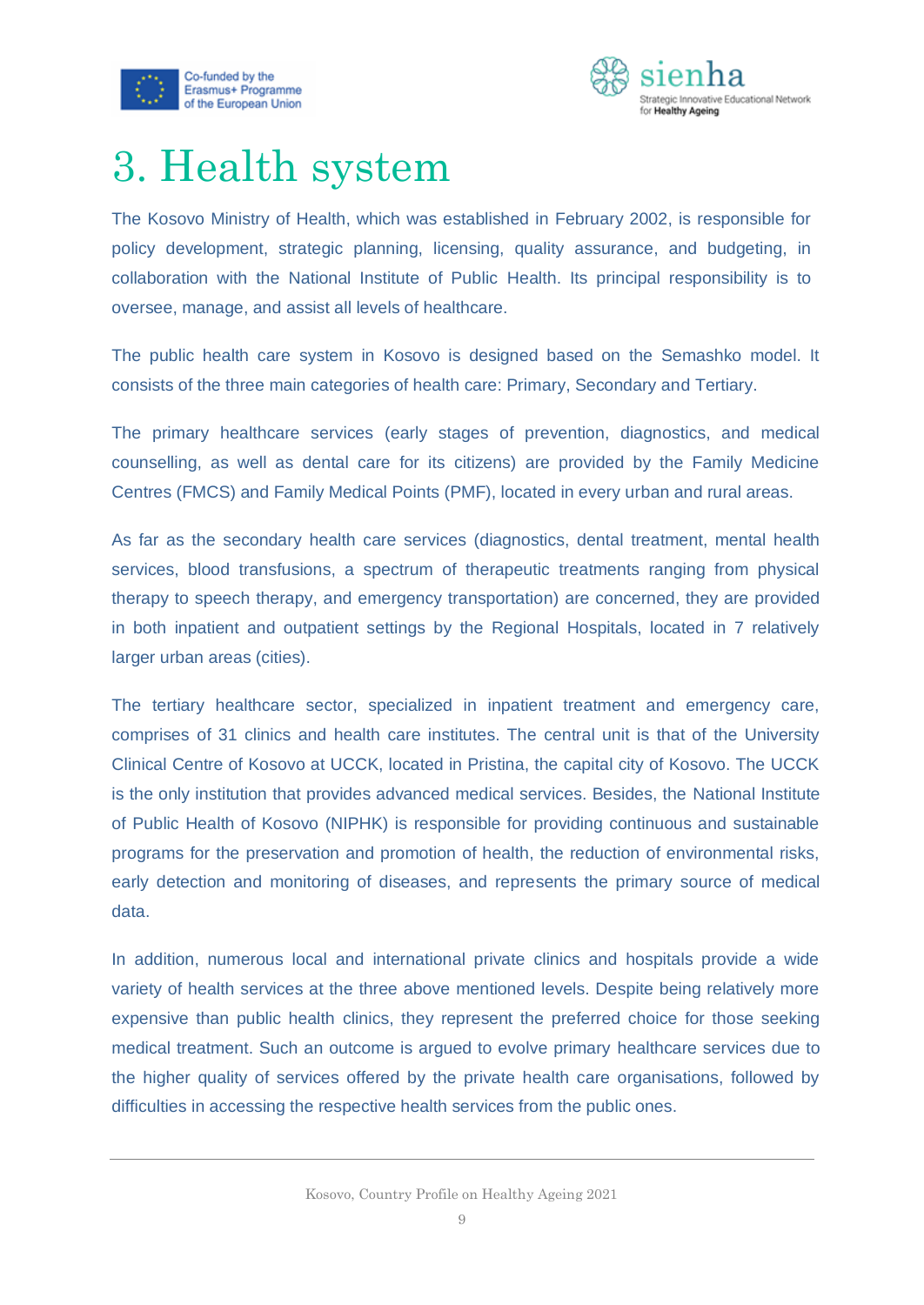



## <span id="page-9-0"></span>3. Health system

The Kosovo Ministry of Health, which was established in February 2002, is responsible for policy development, strategic planning, licensing, quality assurance, and budgeting, in collaboration with the National Institute of Public Health. Its principal responsibility is to oversee, manage, and assist all levels of healthcare.

The public health care system in Kosovo is designed based on the Semashko model. It consists of the three main categories of health care: Primary, Secondary and Tertiary.

The primary healthcare services (early stages of prevention, diagnostics, and medical counselling, as well as dental care for its citizens) are provided by the Family Medicine Centres (FMCS) and Family Medical Points (PMF), located in every urban and rural areas.

As far as the secondary health care services (diagnostics, dental treatment, mental health services, blood transfusions, a spectrum of therapeutic treatments ranging from physical therapy to speech therapy, and emergency transportation) are concerned, they are provided in both inpatient and outpatient settings by the Regional Hospitals, located in 7 relatively larger urban areas (cities).

The tertiary healthcare sector, specialized in inpatient treatment and emergency care, comprises of 31 clinics and health care institutes. The central unit is that of the University Clinical Centre of Kosovo at UCCK, located in Pristina, the capital city of Kosovo. The UCCK is the only institution that provides advanced medical services. Besides, the National Institute of Public Health of Kosovo (NIPHK) is responsible for providing continuous and sustainable programs for the preservation and promotion of health, the reduction of environmental risks, early detection and monitoring of diseases, and represents the primary source of medical data.

In addition, numerous local and international private clinics and hospitals provide a wide variety of health services at the three above mentioned levels. Despite being relatively more expensive than public health clinics, they represent the preferred choice for those seeking medical treatment. Such an outcome is argued to evolve primary healthcare services due to the higher quality of services offered by the private health care organisations, followed by difficulties in accessing the respective health services from the public ones.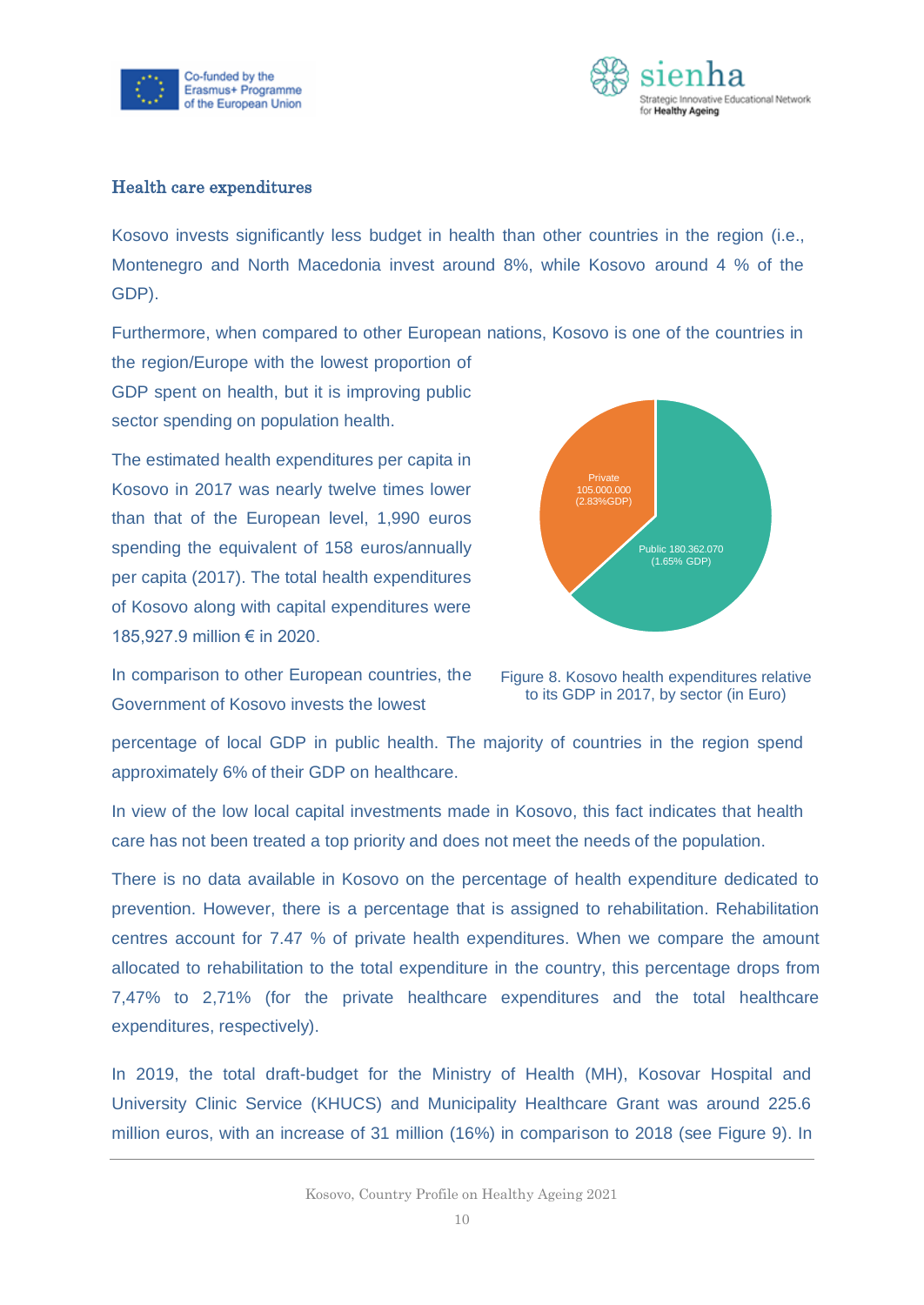



#### Health care expenditures

Kosovo invests significantly less budget in health than other countries in the region (i.e., Montenegro and North Macedonia invest around 8%, while Kosovo around 4 % of the GDP).

Furthermore, when compared to other European nations, Kosovo is one of the countries in the region/Europe with the lowest proportion of

GDP spent on health, but it is improving public sector spending on population health.

The estimated health expenditures per capita in Kosovo in 2017 was nearly twelve times lower than that of the European level, 1,990 euros spending the equivalent of 158 euros/annually per capita (2017). The total health expenditures of Kosovo along with capital expenditures were 185,927.9 million € in 2020.



In comparison to other European countries, the Government of Kosovo invests the lowest

Figure 8. Kosovo health expenditures relative to its GDP in 2017, by sector (in Euro)

percentage of local GDP in public health. The majority of countries in the region spend approximately 6% of their GDP on healthcare.

In view of the low local capital investments made in Kosovo, this fact indicates that health care has not been treated a top priority and does not meet the needs of the population.

There is no data available in Kosovo on the percentage of health expenditure dedicated to prevention. However, there is a percentage that is assigned to rehabilitation. Rehabilitation centres account for 7.47 % of private health expenditures. When we compare the amount allocated to rehabilitation to the total expenditure in the country, this percentage drops from 7,47% to 2,71% (for the private healthcare expenditures and the total healthcare expenditures, respectively).

In 2019, the total draft-budget for the Ministry of Health (MH), Kosovar Hospital and University Clinic Service (KHUCS) and Municipality Healthcare Grant was around 225.6 million euros, with an increase of 31 million (16%) in comparison to 2018 (see Figure 9). In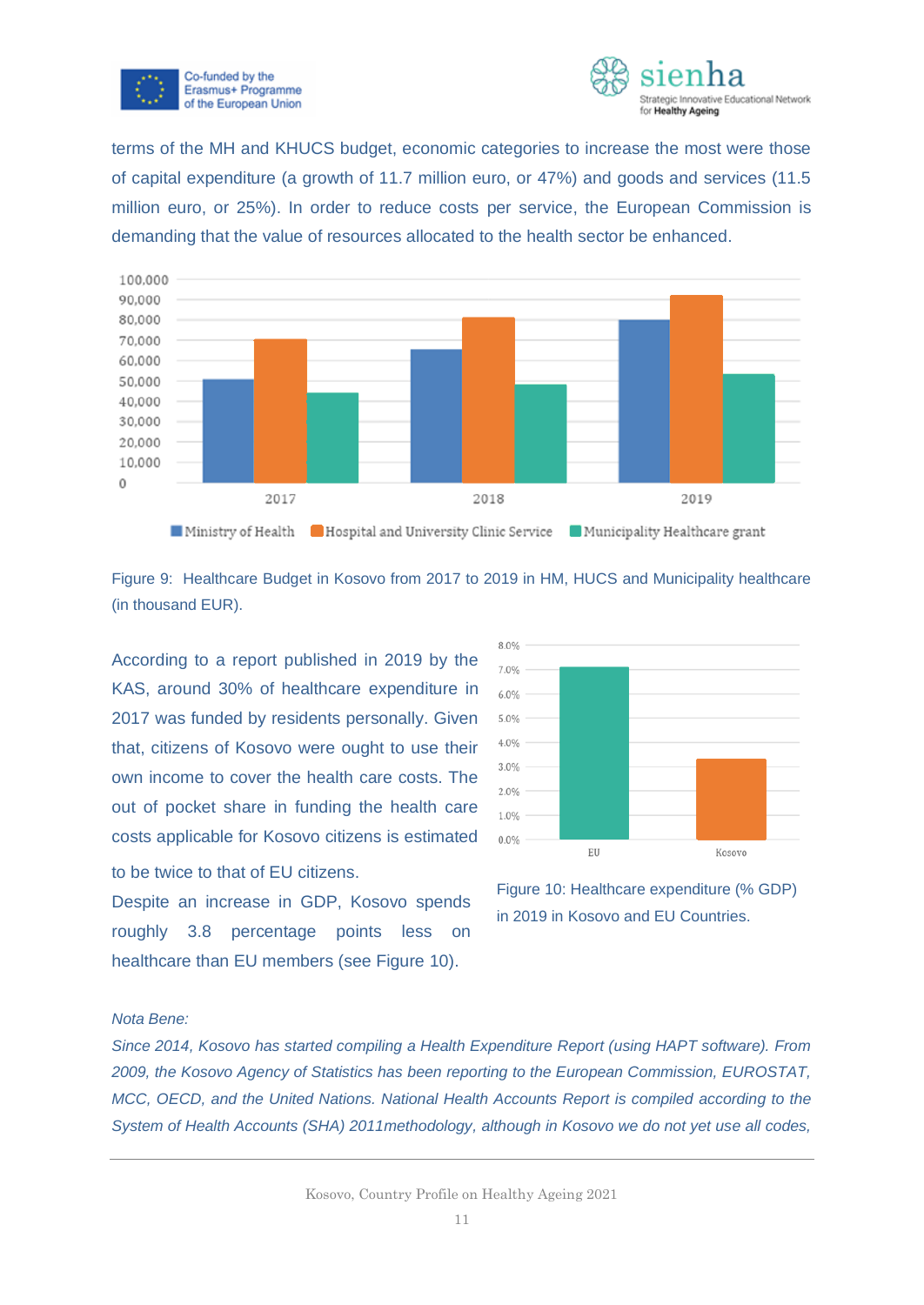



terms of the MH and KHUCS budget, economic categories to increase the most were those of capital expenditure (a growth of 11.7 million euro, or 47%) and goods and services (11.5 million euro, or 25%). In order to reduce costs per service, the European Commission is demanding that the value of resources allocated to the health sector be enhanced.



Figure 9: Healthcare Budget in Kosovo from 2017 to 2019 in HM, HUCS and Municipality healthcare (in thousand EUR).

According to a report published in 2019 by the KAS, around 30% of healthcare expenditure in 2017 was funded by residents personally. Given that, citizens of Kosovo were ought to use their own income to cover the health care costs. The out of pocket share in funding the health care costs applicable for Kosovo citizens is estimated

to be twice to that of EU citizens.



Despite an increase in GDP, Kosovo spends roughly 3.8 percentage points less on healthcare than EU members (see Figure 10).

Figure 10: Healthcare expenditure (% GDP) in 2019 in Kosovo and EU Countries.

#### *Nota Bene:*

*Since 2014, Kosovo has started compiling a Health Expenditure Report (using HAPT software). From 2009, the Kosovo Agency of Statistics has been reporting to the European Commission, EUROSTAT, MCC, OECD, and the United Nations. National Health Accounts Report is compiled according to the System of Health Accounts (SHA) 2011methodology, although in Kosovo we do not yet use all codes,*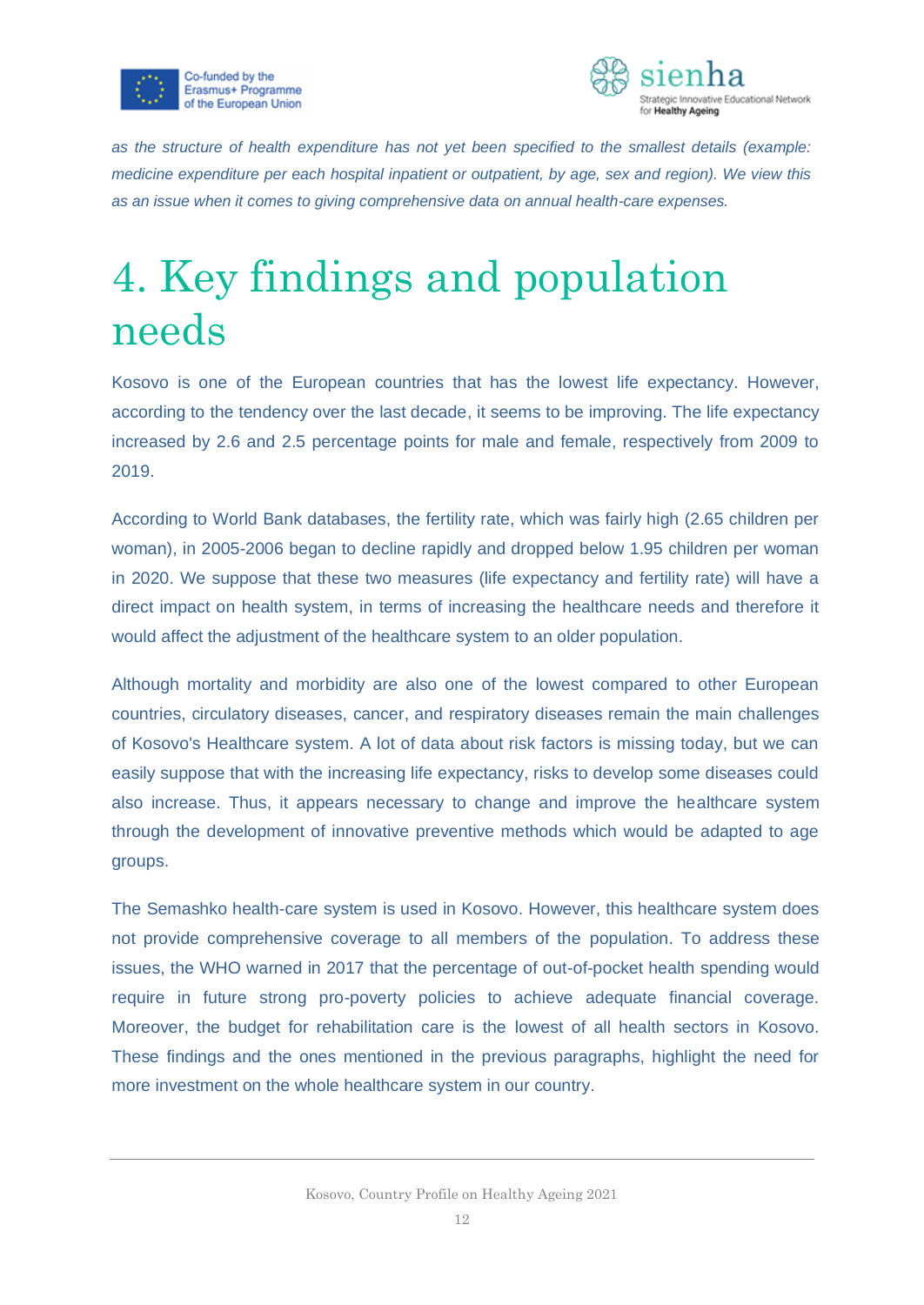



*as the structure of health expenditure has not yet been specified to the smallest details (example: medicine expenditure per each hospital inpatient or outpatient, by age, sex and region). We view this as an issue when it comes to giving comprehensive data on annual health-care expenses.*

# <span id="page-12-0"></span>4. Key findings and population needs

Kosovo is one of the European countries that has the lowest life expectancy. However, according to the tendency over the last decade, it seems to be improving. The life expectancy increased by 2.6 and 2.5 percentage points for male and female, respectively from 2009 to 2019.

According to World Bank databases, the fertility rate, which was fairly high (2.65 children per woman), in 2005-2006 began to decline rapidly and dropped below 1.95 children per woman in 2020. We suppose that these two measures (life expectancy and fertility rate) will have a direct impact on health system, in terms of increasing the healthcare needs and therefore it would affect the adjustment of the healthcare system to an older population.

Although mortality and morbidity are also one of the lowest compared to other European countries, circulatory diseases, cancer, and respiratory diseases remain the main challenges of Kosovo's Healthcare system. A lot of data about risk factors is missing today, but we can easily suppose that with the increasing life expectancy, risks to develop some diseases could also increase. Thus, it appears necessary to change and improve the healthcare system through the development of innovative preventive methods which would be adapted to age groups.

The Semashko health-care system is used in Kosovo. However, this healthcare system does not provide comprehensive coverage to all members of the population. To address these issues, the WHO warned in 2017 that the percentage of out-of-pocket health spending would require in future strong pro-poverty policies to achieve adequate financial coverage. Moreover, the budget for rehabilitation care is the lowest of all health sectors in Kosovo. These findings and the ones mentioned in the previous paragraphs, highlight the need for more investment on the whole healthcare system in our country.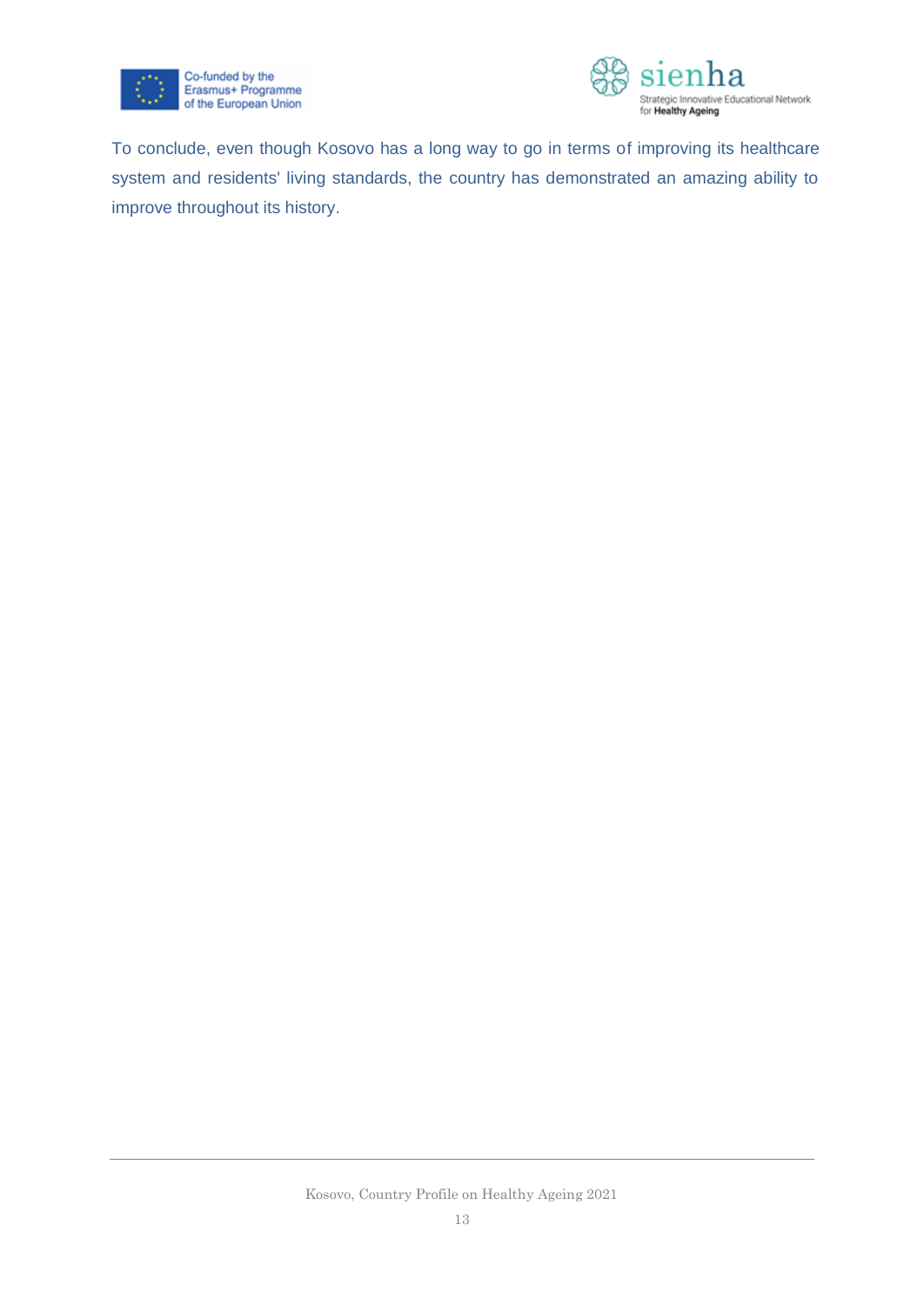



To conclude, even though Kosovo has a long way to go in terms of improving its healthcare system and residents' living standards, the country has demonstrated an amazing ability to improve throughout its history.